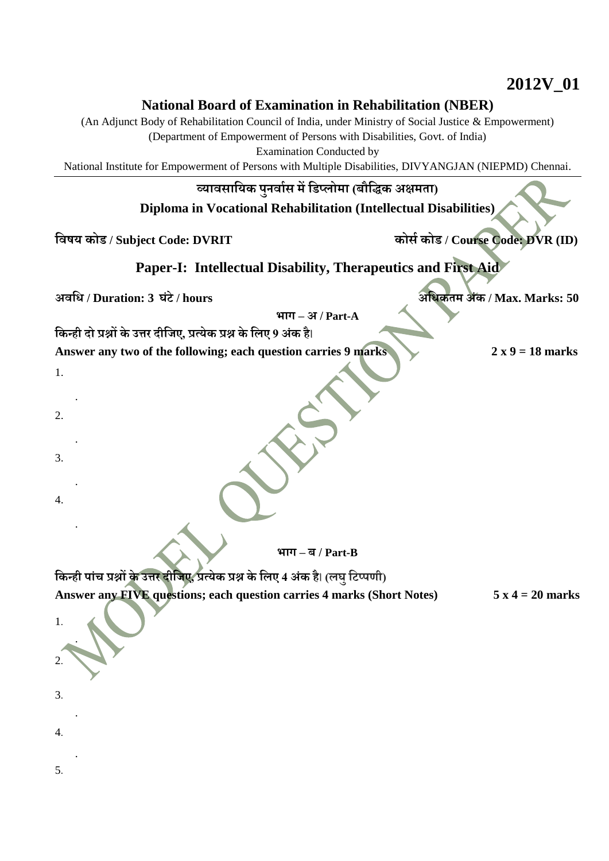## **National Board of Examination in Rehabilitation (NBER)**

(An Adjunct Body of Rehabilitation Council of India, under Ministry of Social Justice & Empowerment)

(Department of Empowerment of Persons with Disabilities, Govt. of India)

Examination Conducted by

National Institute for Empowerment of Persons with Multiple Disabilities, DIVYANGJAN (NIEPMD) Chennai.

## **व्यावसाययक पुनवाास मेंयिप्लोमा (बौयिक अक्षमता)**

**Diploma in Vocational Rehabilitation (Intellectual Disabilities)**

**यवषय कोि / Subject Code: DVRIT कोसा कोि / Course Code: DVR (ID)**

## **Paper-I: Intellectual Disability, Therapeutics and First Aid**

**अवयि / Duration: 3 घंटे/ hours अयिकतम अंक / Max. Marks: 50**

**भाग – अ / Part-A**

**यकन्ही दो प्रश्नों के उत्तर दीयिए, प्रत्येक प्रश्न के यलए 9 अंक है**।

**Answer any two of the following; each question carries 9 marks 2 x 9 = 18 marks**

**भाग – ब / Part-B**

**यकन्ही पांच प्रश्नों के उत्तर दीयिए, प्रत्येक प्रश्न के यलए 4 अंक है**। **(लघुयटप्पणी)**

**Answer any FIVE questions; each question carries 4 marks (Short Notes) 5 x 4 = 20 marks**

5.

4.

1.

2.

3.

4.

1.

2.

3.

.

.

.

.

.

.

.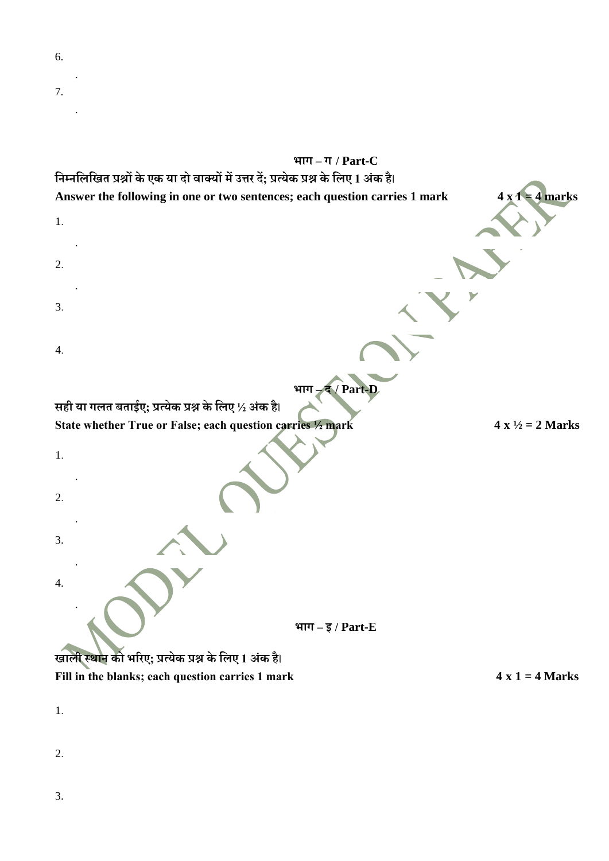

**State whether True or False; each question carries**  $\frac{1}{2}$  **mark**  $4 \times \frac{1}{2} = 2$  Marks

**भाग –इ / Part-E**

**िाली स्थान को भररए; प्रत्येक प्रश्न के यलए 1 अंक है**। Fill in the blanks; each question carries 1 mark  $4 \times 1 = 4$  Marks

1.

1.

2.

3.

4.

.

.

.

.

2.

3.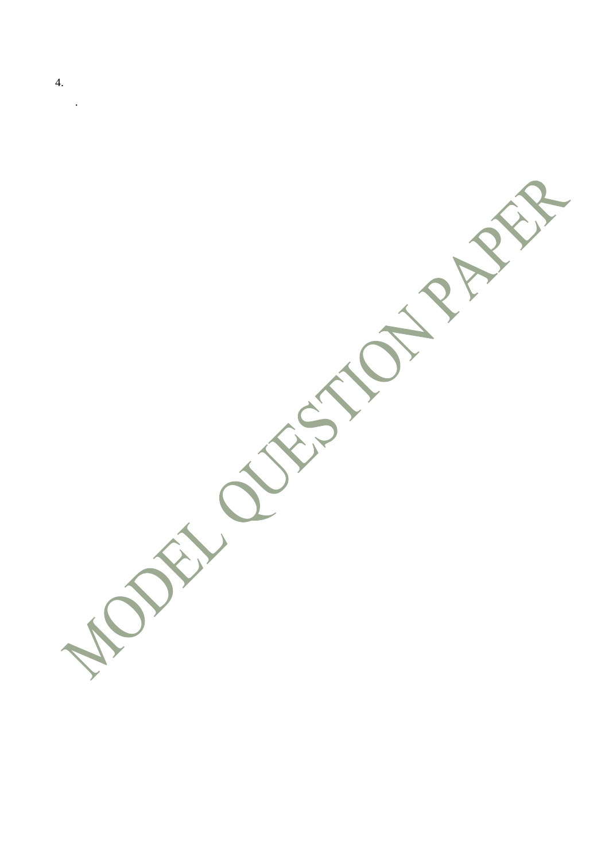4.

.